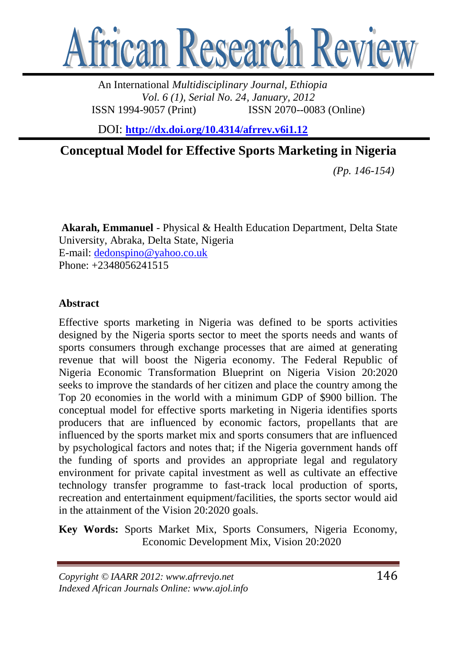

An International *Multidisciplinary Journal, Ethiopia Vol. 6 (1), Serial No. 24, January, 2012* ISSN 1994-9057 (Print) ISSN 2070--0083 (Online)

DOI: **<http://dx.doi.org/10.4314/afrrev.v6i1.12>**

**Conceptual Model for Effective Sports Marketing in Nigeria**

*(Pp. 146-154)*

**Akarah, Emmanuel** - Physical & Health Education Department, Delta State University, Abraka, Delta State, Nigeria E-mail: [dedonspino@yahoo.co.uk](mailto:dedonspino@yahoo.co.uk) Phone: +2348056241515

### **Abstract**

Effective sports marketing in Nigeria was defined to be sports activities designed by the Nigeria sports sector to meet the sports needs and wants of sports consumers through exchange processes that are aimed at generating revenue that will boost the Nigeria economy. The Federal Republic of Nigeria Economic Transformation Blueprint on Nigeria Vision 20:2020 seeks to improve the standards of her citizen and place the country among the Top 20 economies in the world with a minimum GDP of \$900 billion. The conceptual model for effective sports marketing in Nigeria identifies sports producers that are influenced by economic factors, propellants that are influenced by the sports market mix and sports consumers that are influenced by psychological factors and notes that; if the Nigeria government hands off the funding of sports and provides an appropriate legal and regulatory environment for private capital investment as well as cultivate an effective technology transfer programme to fast-track local production of sports, recreation and entertainment equipment/facilities, the sports sector would aid in the attainment of the Vision 20:2020 goals.

**Key Words:** Sports Market Mix, Sports Consumers, Nigeria Economy, Economic Development Mix, Vision 20:2020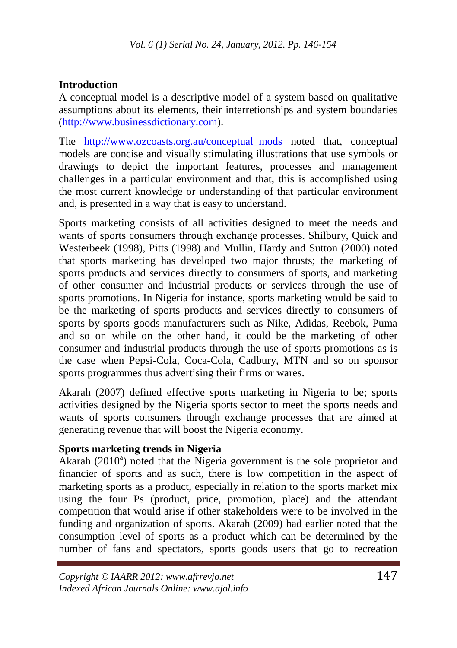# **Introduction**

A conceptual model is a descriptive model of a system based on qualitative assumptions about its elements, their interretionships and system boundaries [\(http://www.businessdictionary.com\)](http://www.businessdictionary.com/).

The [http://www.ozcoasts.org.au/conceptual\\_mods](http://www.ozcoasts.org.au/conceptual_mods) noted that, conceptual models are concise and visually stimulating illustrations that use symbols or drawings to depict the important features, processes and management challenges in a particular environment and that, this is accomplished using the most current knowledge or understanding of that particular environment and, is presented in a way that is easy to understand.

Sports marketing consists of all activities designed to meet the needs and wants of sports consumers through exchange processes. Shilbury, Quick and Westerbeek (1998), Pitts (1998) and Mullin, Hardy and Sutton (2000) noted that sports marketing has developed two major thrusts; the marketing of sports products and services directly to consumers of sports, and marketing of other consumer and industrial products or services through the use of sports promotions. In Nigeria for instance, sports marketing would be said to be the marketing of sports products and services directly to consumers of sports by sports goods manufacturers such as Nike, Adidas, Reebok, Puma and so on while on the other hand, it could be the marketing of other consumer and industrial products through the use of sports promotions as is the case when Pepsi-Cola, Coca-Cola, Cadbury, MTN and so on sponsor sports programmes thus advertising their firms or wares.

Akarah (2007) defined effective sports marketing in Nigeria to be; sports activities designed by the Nigeria sports sector to meet the sports needs and wants of sports consumers through exchange processes that are aimed at generating revenue that will boost the Nigeria economy.

## **Sports marketing trends in Nigeria**

Akarah (2010<sup>a</sup>) noted that the Nigeria government is the sole proprietor and financier of sports and as such, there is low competition in the aspect of marketing sports as a product, especially in relation to the sports market mix using the four Ps (product, price, promotion, place) and the attendant competition that would arise if other stakeholders were to be involved in the funding and organization of sports. Akarah (2009) had earlier noted that the consumption level of sports as a product which can be determined by the number of fans and spectators, sports goods users that go to recreation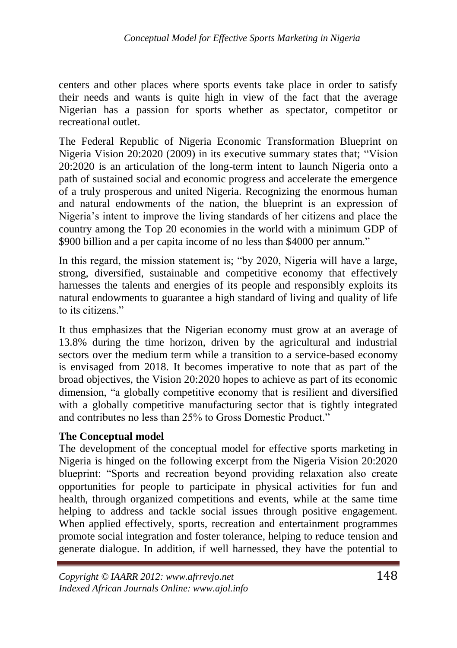centers and other places where sports events take place in order to satisfy their needs and wants is quite high in view of the fact that the average Nigerian has a passion for sports whether as spectator, competitor or recreational outlet.

The Federal Republic of Nigeria Economic Transformation Blueprint on Nigeria Vision 20:2020 (2009) in its executive summary states that; "Vision 20:2020 is an articulation of the long-term intent to launch Nigeria onto a path of sustained social and economic progress and accelerate the emergence of a truly prosperous and united Nigeria. Recognizing the enormous human and natural endowments of the nation, the blueprint is an expression of Nigeria's intent to improve the living standards of her citizens and place the country among the Top 20 economies in the world with a minimum GDP of \$900 billion and a per capita income of no less than \$4000 per annum."

In this regard, the mission statement is; "by 2020, Nigeria will have a large, strong, diversified, sustainable and competitive economy that effectively harnesses the talents and energies of its people and responsibly exploits its natural endowments to guarantee a high standard of living and quality of life to its citizens."

It thus emphasizes that the Nigerian economy must grow at an average of 13.8% during the time horizon, driven by the agricultural and industrial sectors over the medium term while a transition to a service-based economy is envisaged from 2018. It becomes imperative to note that as part of the broad objectives, the Vision 20:2020 hopes to achieve as part of its economic dimension, "a globally competitive economy that is resilient and diversified with a globally competitive manufacturing sector that is tightly integrated and contributes no less than 25% to Gross Domestic Product."

## **The Conceptual model**

The development of the conceptual model for effective sports marketing in Nigeria is hinged on the following excerpt from the Nigeria Vision 20:2020 blueprint: "Sports and recreation beyond providing relaxation also create opportunities for people to participate in physical activities for fun and health, through organized competitions and events, while at the same time helping to address and tackle social issues through positive engagement. When applied effectively, sports, recreation and entertainment programmes promote social integration and foster tolerance, helping to reduce tension and generate dialogue. In addition, if well harnessed, they have the potential to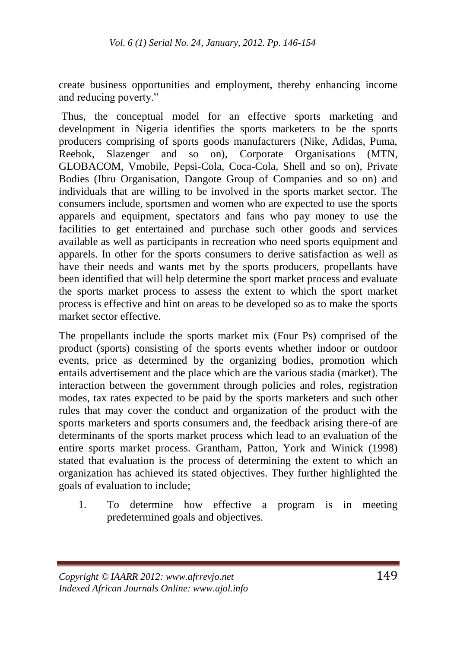create business opportunities and employment, thereby enhancing income and reducing poverty."

Thus, the conceptual model for an effective sports marketing and development in Nigeria identifies the sports marketers to be the sports producers comprising of sports goods manufacturers (Nike, Adidas, Puma, Reebok, Slazenger and so on), Corporate Organisations (MTN, GLOBACOM, Vmobile, Pepsi-Cola, Coca-Cola, Shell and so on), Private Bodies (Ibru Organisation, Dangote Group of Companies and so on) and individuals that are willing to be involved in the sports market sector. The consumers include, sportsmen and women who are expected to use the sports apparels and equipment, spectators and fans who pay money to use the facilities to get entertained and purchase such other goods and services available as well as participants in recreation who need sports equipment and apparels. In other for the sports consumers to derive satisfaction as well as have their needs and wants met by the sports producers, propellants have been identified that will help determine the sport market process and evaluate the sports market process to assess the extent to which the sport market process is effective and hint on areas to be developed so as to make the sports market sector effective.

The propellants include the sports market mix (Four Ps) comprised of the product (sports) consisting of the sports events whether indoor or outdoor events, price as determined by the organizing bodies, promotion which entails advertisement and the place which are the various stadia (market). The interaction between the government through policies and roles, registration modes, tax rates expected to be paid by the sports marketers and such other rules that may cover the conduct and organization of the product with the sports marketers and sports consumers and, the feedback arising there-of are determinants of the sports market process which lead to an evaluation of the entire sports market process. Grantham, Patton, York and Winick (1998) stated that evaluation is the process of determining the extent to which an organization has achieved its stated objectives. They further highlighted the goals of evaluation to include;

1. To determine how effective a program is in meeting predetermined goals and objectives.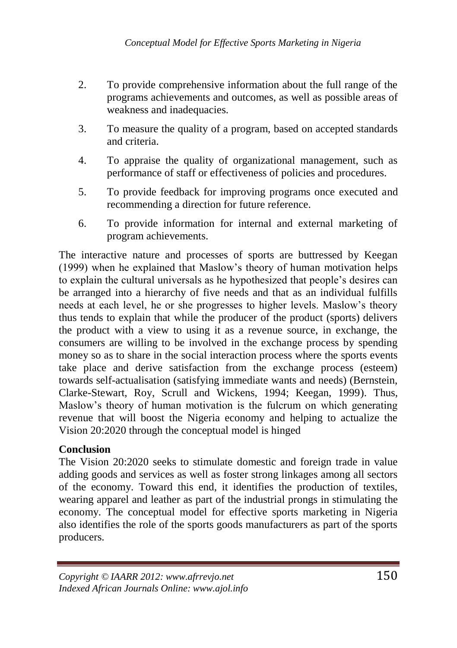- 2. To provide comprehensive information about the full range of the *...*programs achievements and outcomes, as well as possible areas of weakness and inadequacies.
- 3. To measure the quality of a program, based on accepted standards and criteria.
- 4. To appraise the quality of organizational management, such as performance of staff or effectiveness of policies and procedures.
- 5. To provide feedback for improving programs once executed and recommending a direction for future reference.
- 6. To provide information for internal and external marketing of program achievements.

The interactive nature and processes of sports are buttressed by Keegan (1999) when he explained that Maslow's theory of human motivation helps to explain the cultural universals as he hypothesized that people's desires can be arranged into a hierarchy of five needs and that as an individual fulfills needs at each level, he or she progresses to higher levels. Maslow's theory thus tends to explain that while the producer of the product (sports) delivers the product with a view to using it as a revenue source, in exchange, the consumers are willing to be involved in the exchange process by spending money so as to share in the social interaction process where the sports events take place and derive satisfaction from the exchange process (esteem) towards self-actualisation (satisfying immediate wants and needs) (Bernstein, Clarke-Stewart, Roy, Scrull and Wickens, 1994; Keegan, 1999). Thus, Maslow's theory of human motivation is the fulcrum on which generating revenue that will boost the Nigeria economy and helping to actualize the Vision 20:2020 through the conceptual model is hinged

## **Conclusion**

The Vision 20:2020 seeks to stimulate domestic and foreign trade in value adding goods and services as well as foster strong linkages among all sectors of the economy. Toward this end, it identifies the production of textiles, wearing apparel and leather as part of the industrial prongs in stimulating the economy. The conceptual model for effective sports marketing in Nigeria also identifies the role of the sports goods manufacturers as part of the sports producers.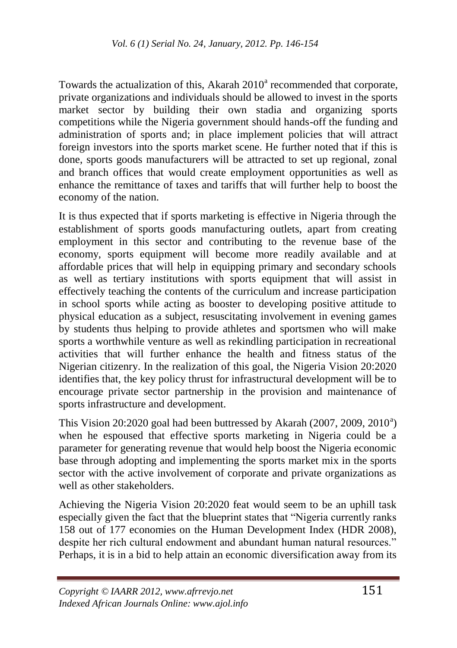Towards the actualization of this, Akarah 2010<sup>a</sup> recommended that corporate, private organizations and individuals should be allowed to invest in the sports market sector by building their own stadia and organizing sports competitions while the Nigeria government should hands-off the funding and administration of sports and; in place implement policies that will attract foreign investors into the sports market scene. He further noted that if this is done, sports goods manufacturers will be attracted to set up regional, zonal and branch offices that would create employment opportunities as well as enhance the remittance of taxes and tariffs that will further help to boost the economy of the nation.

It is thus expected that if sports marketing is effective in Nigeria through the establishment of sports goods manufacturing outlets, apart from creating employment in this sector and contributing to the revenue base of the economy, sports equipment will become more readily available and at affordable prices that will help in equipping primary and secondary schools as well as tertiary institutions with sports equipment that will assist in effectively teaching the contents of the curriculum and increase participation in school sports while acting as booster to developing positive attitude to physical education as a subject, resuscitating involvement in evening games by students thus helping to provide athletes and sportsmen who will make sports a worthwhile venture as well as rekindling participation in recreational activities that will further enhance the health and fitness status of the Nigerian citizenry. In the realization of this goal, the Nigeria Vision 20:2020 identifies that, the key policy thrust for infrastructural development will be to encourage private sector partnership in the provision and maintenance of sports infrastructure and development.

This Vision  $20:2020$  goal had been buttressed by Akarah (2007, 2009, 2010<sup>a</sup>) when he espoused that effective sports marketing in Nigeria could be a parameter for generating revenue that would help boost the Nigeria economic base through adopting and implementing the sports market mix in the sports sector with the active involvement of corporate and private organizations as well as other stakeholders.

Achieving the Nigeria Vision 20:2020 feat would seem to be an uphill task especially given the fact that the blueprint states that "Nigeria currently ranks" 158 out of 177 economies on the Human Development Index (HDR 2008), despite her rich cultural endowment and abundant human natural resources." Perhaps, it is in a bid to help attain an economic diversification away from its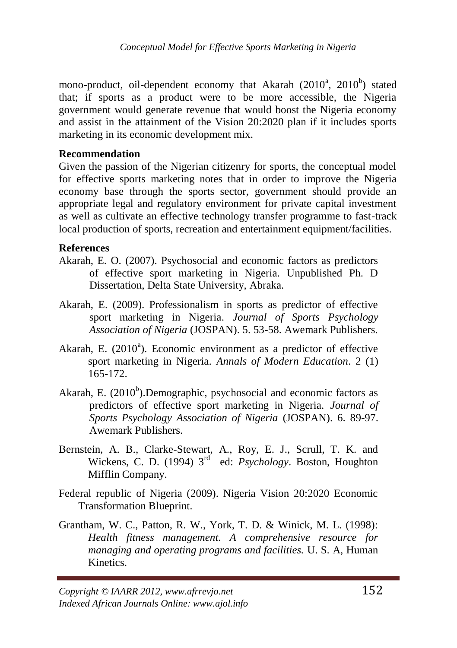mono-product, oil-dependent economy that Akarah (2010<sup>a</sup>, 2010<sup>b</sup>) stated that; if sports as a product were to be more accessible, the Nigeria government would generate revenue that would boost the Nigeria economy and assist in the attainment of the Vision 20:2020 plan if it includes sports marketing in its economic development mix.

#### **Recommendation**

Given the passion of the Nigerian citizenry for sports, the conceptual model for effective sports marketing notes that in order to improve the Nigeria economy base through the sports sector, government should provide an appropriate legal and regulatory environment for private capital investment as well as cultivate an effective technology transfer programme to fast-track local production of sports, recreation and entertainment equipment/facilities.

#### **References**

- Akarah, E. O. (2007). Psychosocial and economic factors as predictors of effective sport marketing in Nigeria. Unpublished Ph. D Dissertation, Delta State University, Abraka.
- Akarah, E. (2009). Professionalism in sports as predictor of effective sport marketing in Nigeria. *Journal of Sports Psychology Association of Nigeria* (JOSPAN). 5. 53-58. Awemark Publishers.
- Akarah, E. (2010<sup>a</sup>). Economic environment as a predictor of effective sport marketing in Nigeria. *Annals of Modern Education*. 2 (1) 165-172.
- Akarah, E. (2010<sup>b</sup>).Demographic, psychosocial and economic factors as predictors of effective sport marketing in Nigeria. *Journal of Sports Psychology Association of Nigeria* (JOSPAN). 6. 89-97. Awemark Publishers.
- Bernstein, A. B., Clarke-Stewart, A., Roy, E. J., Scrull, T. K. and Wickens, C. D. (1994) 3<sup>rd</sup> ed: *Psychology*. Boston, Houghton Mifflin Company.
- Federal republic of Nigeria (2009). Nigeria Vision 20:2020 Economic Transformation Blueprint.
- Grantham, W. C., Patton, R. W., York, T. D. & Winick, M. L. (1998): *Health fitness management. A comprehensive resource for managing and operating programs and facilities.* U. S. A, Human Kinetics.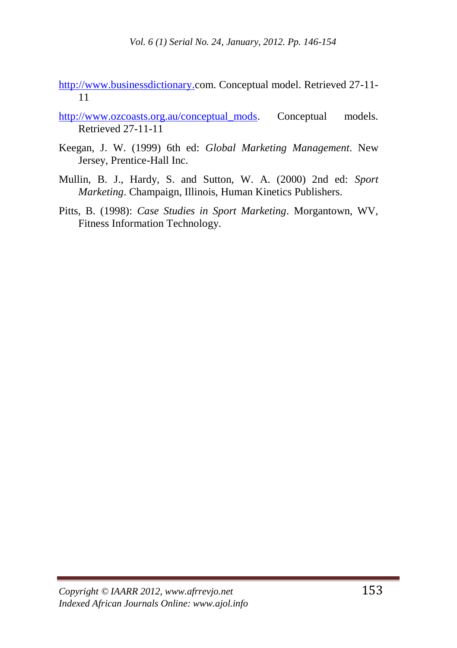[http://www.businessdictionary.c](http://www.businessdictionary./)om. Conceptual model. Retrieved 27-11- 11

- http://www.ozcoasts.org.au/conceptual mods. Conceptual models. Retrieved 27-11-11
- Keegan, J. W. (1999) 6th ed: *Global Marketing Management*. New Jersey, Prentice-Hall Inc.
- Mullin, B. J., Hardy, S. and Sutton, W. A. (2000) 2nd ed: *Sport Marketing*. Champaign, Illinois, Human Kinetics Publishers.
- Pitts, B. (1998): *Case Studies in Sport Marketing*. Morgantown, WV, Fitness Information Technology.